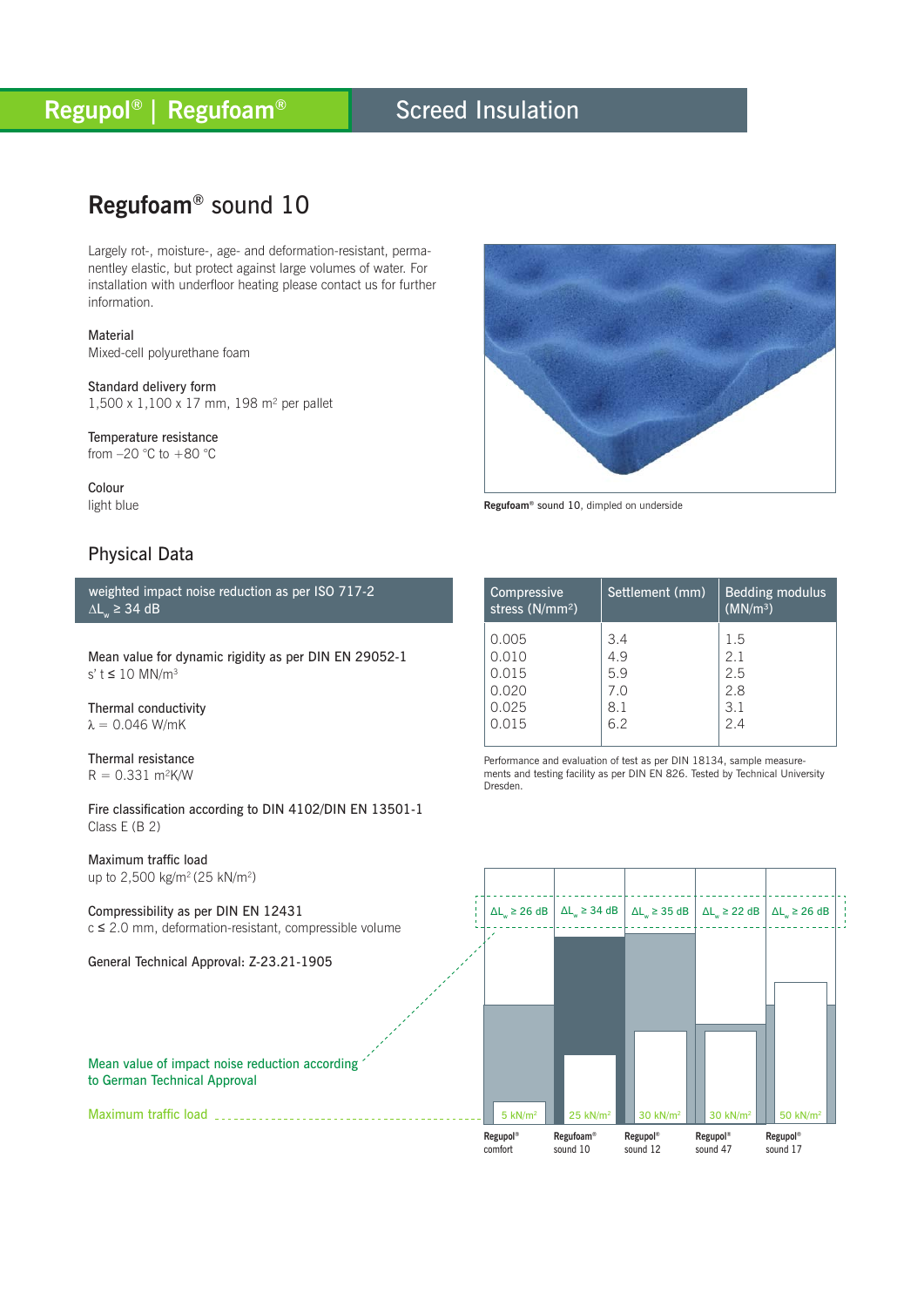### Screed Insulation

## **Regufoam®** sound 10

Largely rot-, moisture-, age- and deformation-resistant, permanentley elastic, but protect against large volumes of water. For installation with underfloor heating please contact us for further information.

Material Mixed-cell polyurethane foam

Standard delivery form 1,500 x 1,100 x 17 mm, 198 m² per pallet

Temperature resistance from  $-20$  °C to  $+80$  °C

Colour light blue

### Physical Data

weighted impact noise reduction as per ISO 717-2  $\Delta L_{w}$  ≥ 34 dB

Mean value for dynamic rigidity as per DIN EN 29052-1 s'  $t \le 10$  MN/m<sup>3</sup>

Thermal conductivity  $λ = 0.046$  W/mK

Thermal resistance  $R = 0.331$  m<sup>2</sup>K/W

Fire classification according to DIN 4102/DIN EN 13501-1 Class E (B 2)

Maximum traffic load up to 2,500 kg/m<sup>2</sup> (25 kN/m<sup>2</sup>)

Maximum traffic load

Compressibility as per DIN EN 12431 c ≤ 2.0 mm, deformation-resistant, compressible volume

General Technical Approval: Z-23.21-1905



**Regufoam®** sound 10, dimpled on underside

| Compressive<br>stress $(N/mm2)$ | Settlement (mm) | <b>Bedding modulus</b><br>(MN/m <sup>3</sup> ) |
|---------------------------------|-----------------|------------------------------------------------|
| 0.005                           | 3.4             | 1.5                                            |
| 0.010                           | 4.9             | 2.1                                            |
| 0.015                           | 5.9             | 2.5                                            |
| 0.020                           | 7.0             | 2.8                                            |
| 0.025                           | 8.1             | 3.1                                            |
| 0.015                           | 6.2             | 2.4                                            |

Performance and evaluation of test as per DIN 18134, sample measurements and testing facility as per DIN EN 826. Tested by Technical University Dresden.



#### Mean value of impact noise reduction according to German Technical Approval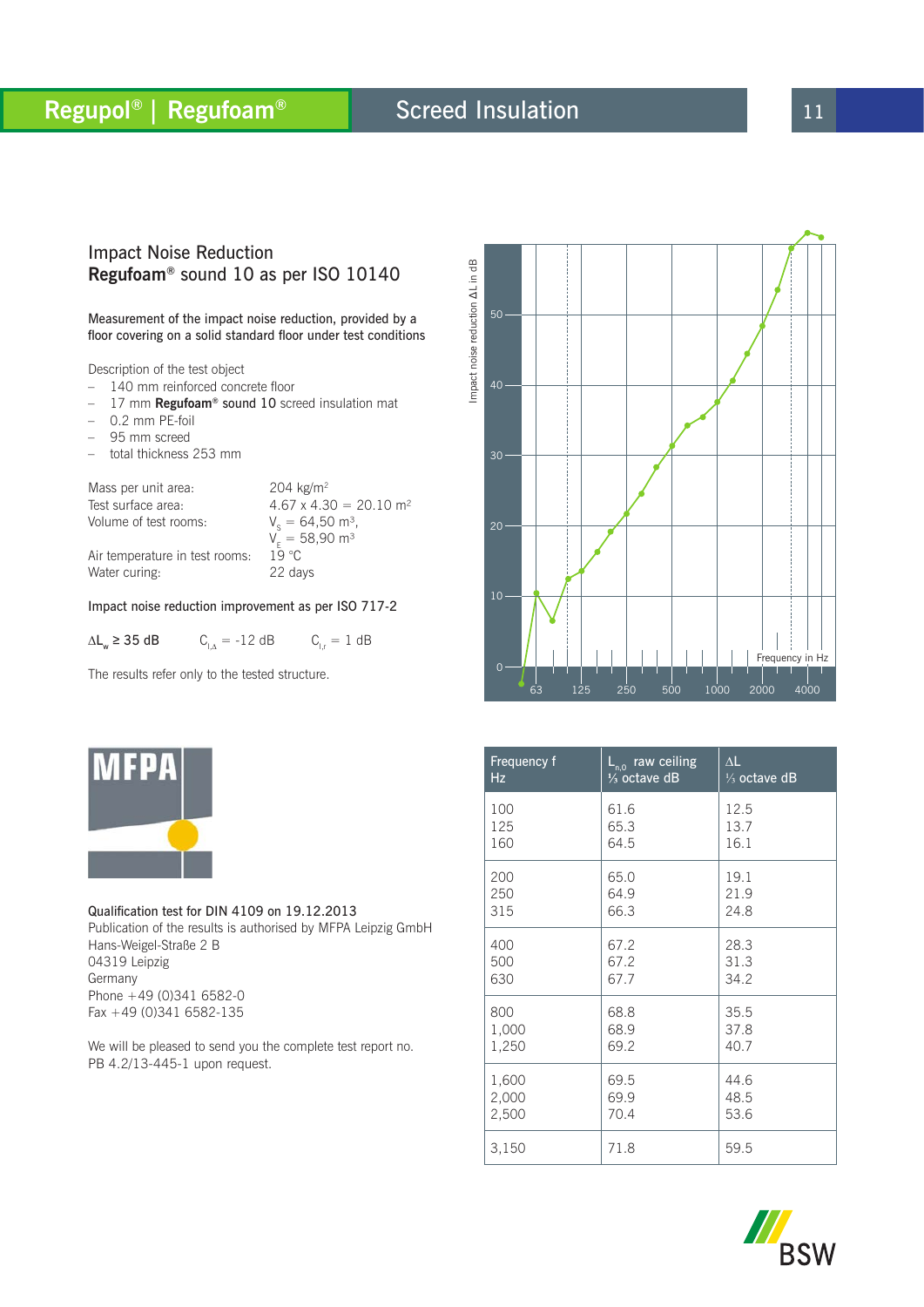### Screed Insulation

### Impact Noise Reduction **Regufoam®** sound 10 as per ISO 10140

Measurement of the impact noise reduction, provided by a floor covering on a solid standard floor under test conditions

Description of the test object

- 140 mm reinforced concrete floor
- 17 mm **Regufoam®** sound 10 screed insulation mat
- $-$  0.2 mm PE-foil
- 95 mm screed
- total thickness 253 mm

Mass per unit area: 204 kg/m<sup>2</sup> Test surface area:  $4.67 \times 4.30 = 20.10 \text{ m}^2$ Volume of test rooms:  $V_e = 64,50$  m<sup>3</sup>,  $\rm V_{E}=58,90~m^{3}$ Air temperature in test rooms:  $1\overline{9}$  °C<br>Water curing: 22 days

Water curing:

#### Impact noise reduction improvement as per ISO 717-2

 $\Delta L_w \ge 35$  dB  $C_{1\Delta} = -12$  dB  $C_{1r} = 1$  dB

The results refer only to the tested structure.



Qualification test for DIN 4109 on 19.12.2013 Publication of the results is authorised by MFPA Leipzig GmbH Hans-Weigel-Straße 2 B 04319 Leipzig Germany Phone +49 (0)341 6582-0 Fax +49 (0)341 6582-135

We will be pleased to send you the complete test report no. PB 4.2/13-445-1 upon request.



| Frequency f | $L_{n,0}$ raw ceiling   | $\Delta L$              |
|-------------|-------------------------|-------------------------|
| Hz          | $\frac{1}{3}$ octave dB | $\frac{1}{3}$ octave dB |
| 100         | 61.6                    | 12.5                    |
| 125         | 65.3                    | 13.7                    |
| 160         | 64.5                    | 16.1                    |
| 200         | 65.0                    | 19.1                    |
| 250         | 64.9                    | 21.9                    |
| 315         | 66.3                    | 24.8                    |
| 400         | 67.2                    | 28.3                    |
| 500         | 67.2                    | 31.3                    |
| 630         | 67.7                    | 34.2                    |
| 800         | 68.8                    | 35.5                    |
| 1,000       | 68.9                    | 37.8                    |
| 1,250       | 69.2                    | 40.7                    |
| 1,600       | 69.5                    | 44.6                    |
| 2,000       | 69.9                    | 48.5                    |
| 2,500       | 70.4                    | 53.6                    |
| 3,150       | 71.8                    | 59.5                    |

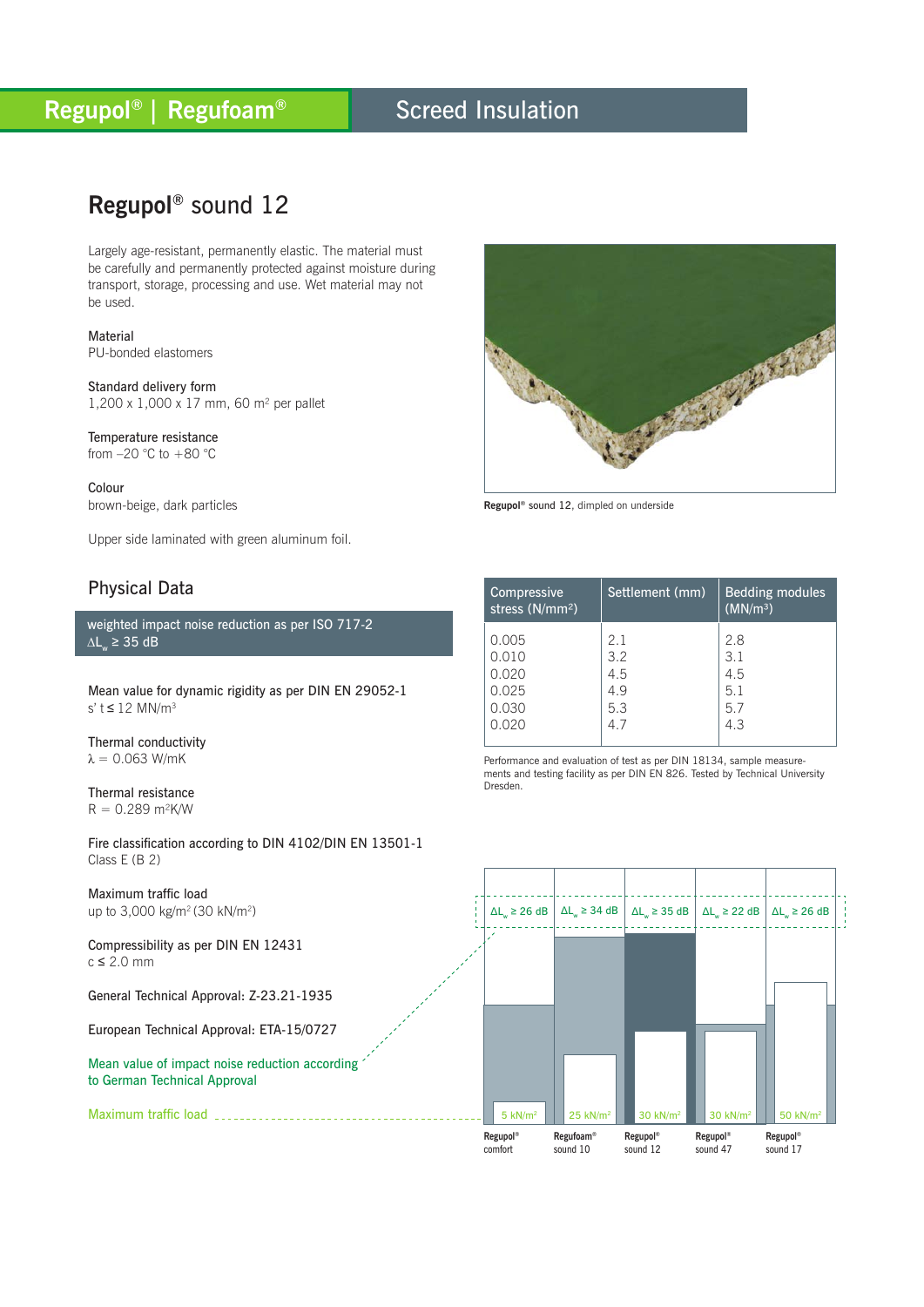### Screed Insulation

## **Regupol®** sound 12

Largely age-resistant, permanently elastic. The material must be carefully and permanently protected against moisture during transport, storage, processing and use. Wet material may not be used.

**Material** PU-bonded elastomers

Standard delivery form 1,200 x 1,000 x 17 mm, 60 m² per pallet

Temperature resistance from  $-20$  °C to  $+80$  °C

Colour brown-beige, dark particles

Upper side laminated with green aluminum foil.

### Physical Data

weighted impact noise reduction as per ISO 717-2  $\Delta L_{w}$  ≥ 35 dB

Mean value for dynamic rigidity as per DIN EN 29052-1 s'  $t \le 12$  MN/m<sup>3</sup>

Thermal conductivity  $λ = 0.063$  W/mK

Thermal resistance  $R = 0.289$  m<sup>2</sup>K/W

Fire classification according to DIN 4102/DIN EN 13501-1 Class E (B 2)

Maximum traffic load up to 3,000 kg/m2 (30 kN/m2)

Maximum traffic load

Compressibility as per DIN EN 12431  $c \leq 2.0$  mm

General Technical Approval: Z-23.21-1935

European Technical Approval: ETA-15/0727

Mean value of impact noise reduction according to German Technical Approval

No service contracto PART OF BUILDING

**Regupol®** sound 12, dimpled on underside

| Compressive<br>stress (N/mm <sup>2</sup> ) | Settlement (mm) | <b>Bedding modules</b><br>(MN/m <sup>3</sup> ) |
|--------------------------------------------|-----------------|------------------------------------------------|
| 0.005                                      | 2.1             | 2.8                                            |
| 0.010                                      | 3.2             | 3.1                                            |
| 0.020                                      | 4.5             | 4.5                                            |
| 0.025                                      | 49              | 5.1                                            |
| 0.030                                      | 5.3             | 5.7                                            |
| 0.020                                      | 4.7             | 4.3                                            |

Performance and evaluation of test as per DIN 18134, sample measurements and testing facility as per DIN EN 826. Tested by Technical University Dresden.

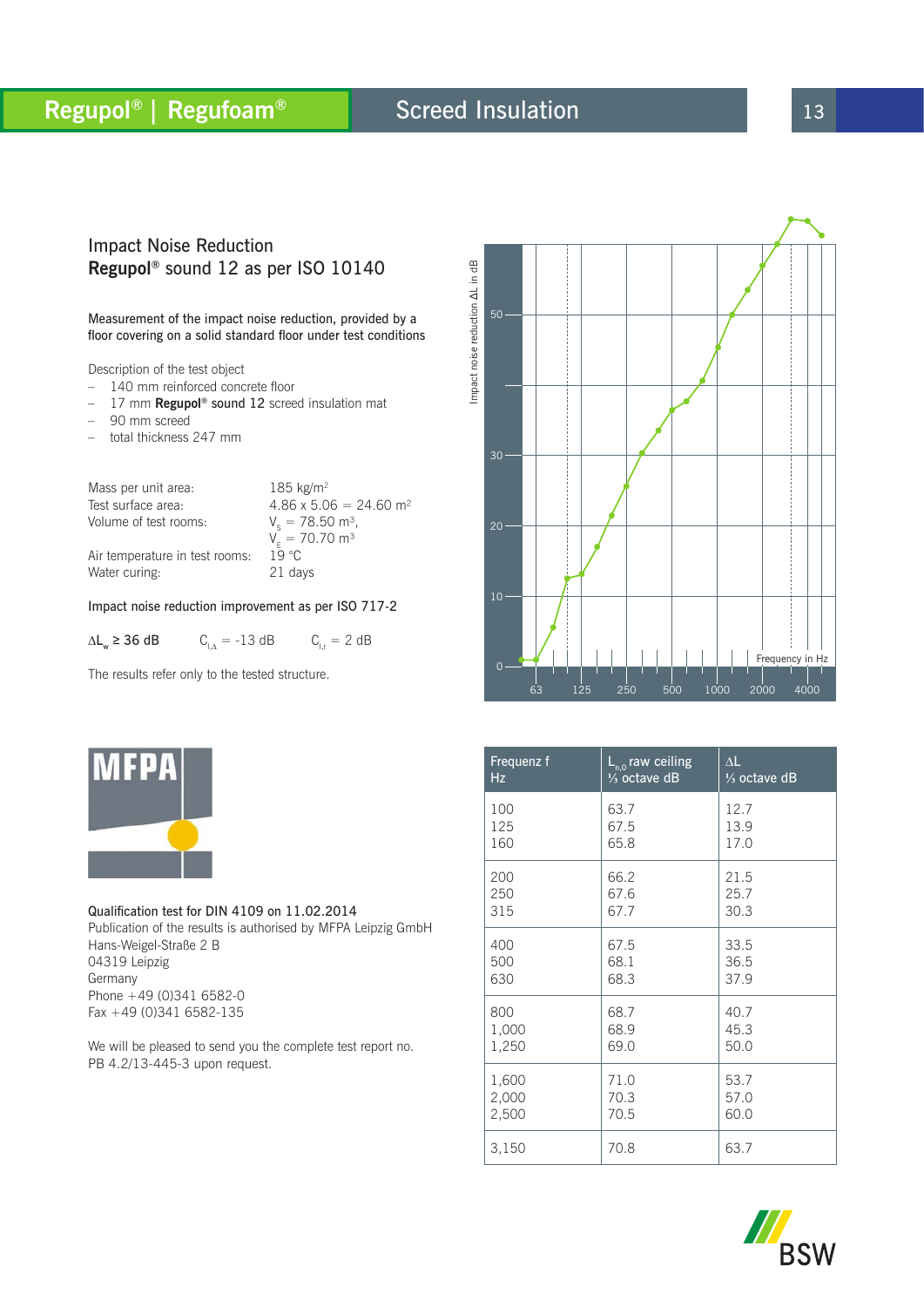# **Regupol<sup>®</sup> | Regufoam® 13 Screed Insulation 13 13**

## Screed Insulation

#### Impact Noise Reduction **Regupol®** sound 12 as per ISO 10140

Measurement of the impact noise reduction, provided by a floor covering on a solid standard floor under test conditions

Description of the test object

- 140 mm reinforced concrete floor
- 17 mm **Regupol®** sound 12 screed insulation mat
- 90 mm screed
- total thickness 247 mm

Mass per unit area:  $185 \text{ kg/m}^2$ Test surface area:  $4.86 \times 5.06 = 24.60 \text{ m}^2$ Volume of test rooms:  $V_e = 78.50$  m<sup>3</sup>,  $V_{E}$  = 70.70 m<sup>3</sup> Air temperature in test rooms:  $1\overline{9}$  °C<br>Water curing: 21 days Water curing:

#### Impact noise reduction improvement as per ISO 717-2

 $\Delta L_w$  ≥ 36 dB  $C_{\perp\Delta}$  = -13 dB  $C_{\perp r}$  = 2 dB

The results refer only to the tested structure.



Qualification test for DIN 4109 on 11.02.2014 Publication of the results is authorised by MFPA Leipzig GmbH Hans-Weigel-Straße 2 B 04319 Leipzig Germany Phone +49 (0)341 6582-0 Fax +49 (0)341 6582-135

We will be pleased to send you the complete test report no. PB 4.2/13-445-3 upon request.



| Frequenz f | $\overline{\mathsf{L}_{n,0}}$ raw ceiling | $\Delta L$              |
|------------|-------------------------------------------|-------------------------|
| Hz         | $\frac{1}{3}$ octave dB                   | $\frac{1}{3}$ octave dB |
| 100        | 63.7                                      | 12.7                    |
| 125        | 67.5                                      | 13.9                    |
| 160        | 65.8                                      | 17.0                    |
| 200        | 66.2                                      | 21.5                    |
| 250        | 67.6                                      | 25.7                    |
| 315        | 67.7                                      | 30.3                    |
| 400        | 67.5                                      | 33.5                    |
| 500        | 68.1                                      | 36.5                    |
| 630        | 68.3                                      | 37.9                    |
| 800        | 68.7                                      | 40.7                    |
| 1,000      | 68.9                                      | 45.3                    |
| 1,250      | 69.0                                      | 50.0                    |
| 1,600      | 71.0                                      | 53.7                    |
| 2,000      | 70.3                                      | 57.0                    |
| 2,500      | 70.5                                      | 60.0                    |
| 3,150      | 70.8                                      | 63.7                    |

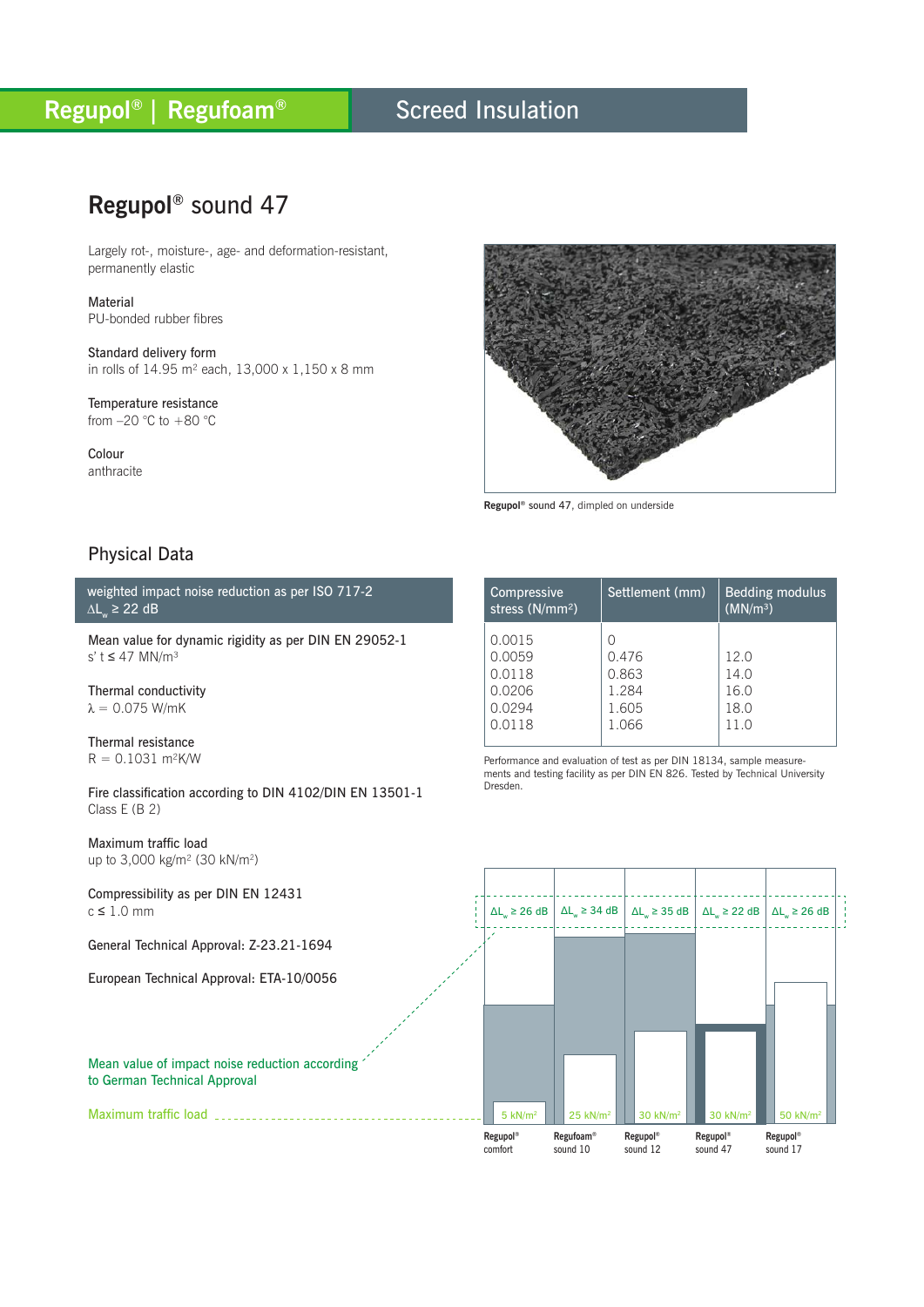### Screed Insulation

## **Regupol®** sound 47

Largely rot-, moisture-, age- and deformation-resistant, permanently elastic

Material PU-bonded rubber fibres

Standard delivery form in rolls of 14.95 m² each, 13,000 x 1,150 x 8 mm

Temperature resistance from  $-20$  °C to  $+80$  °C

Colour anthracite



Settlement (mm)  $\vert$  Bedding modulus

 $(MN/m<sup>3</sup>)$ 

**Regupol®** sound 47, dimpled on underside

 $\Omega$ 

Compressive stress (N/mm²)

0.0015

### Physical Data

weighted impact noise reduction as per ISO 717-2  $\Delta L_{w}$  ≥ 22 dB

Mean value for dynamic rigidity as per DIN EN 29052-1 s' t ≤ 47 MN/m³

Thermal conductivity  $λ = 0.075$  W/mK

Thermal resistance  $R = 0.1031$  m<sup>2</sup>K/W

Fire classification according to DIN 4102/DIN EN 13501-1 Class E (B 2)

Maximum traffic load up to 3,000 kg/m² (30 kN/m2)

Maximum traffic load

Compressibility as per DIN EN 12431  $c \leq 1.0$  mm

General Technical Approval: Z-23.21-1694

European Technical Approval: ETA-10/0056

Mean value of impact noise reduction according to German Technical Approval

Performance and evaluation of test as per DIN 18134, sample measurements and testing facility as per DIN EN 826. Tested by Technical University Dresden. 0.0059 0.0118 0.0206 0.0294 0.0118 0.476 0.863 1.284 1.605 1.066 12.0 14.0 16.0 18.0 11.0

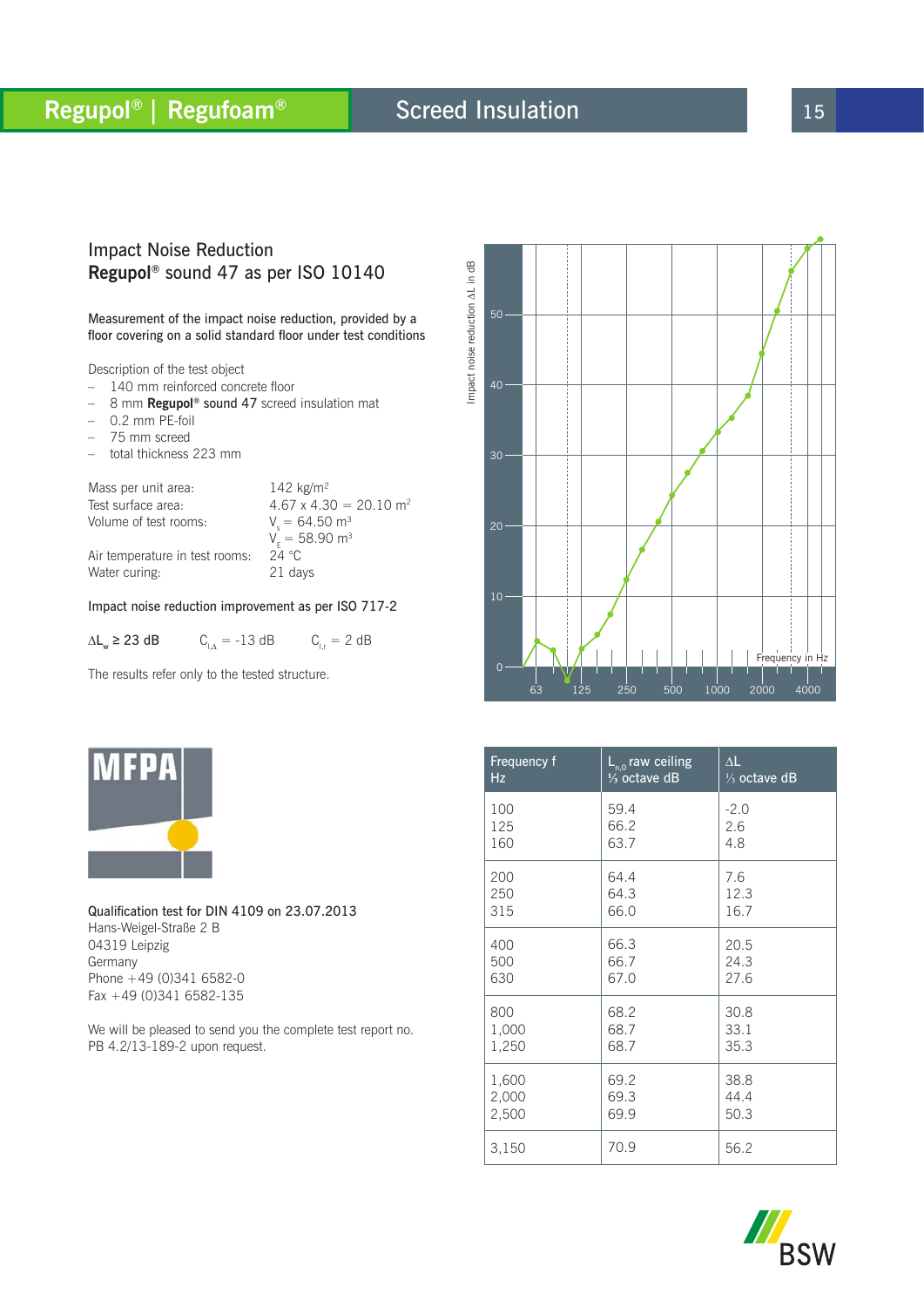# **Regupol<sup>®</sup> | Regufoam® 8** Screed Insulation 15

## Screed Insulation

### Impact Noise Reduction **Regupol®** sound 47 as per ISO 10140

Measurement of the impact noise reduction, provided by a floor covering on a solid standard floor under test conditions

Description of the test object

- 140 mm reinforced concrete floor
- 8 mm **Regupol®** sound 47 screed insulation mat
- $-$  0.2 mm PE-foil
- 75 mm screed
- total thickness 223 mm

Mass per unit area: 142 kg/m<sup>2</sup> Test surface area:  $4.67 \times 4.30 = 20.10 \text{ m}^2$ Volume of test rooms:  $V = 64.50 \text{ m}^3$  $V_{E}^{S} = 58.90 \text{ m}^{3}$ <br>24 °C Air temperature in test rooms:  $24 °C$ <br>Water curing: 21 days

Water curing:

#### Impact noise reduction improvement as per ISO 717-2

 $\Delta L_w$  ≥ 23 dB  $C_{\perp\Delta}$  = -13 dB  $C_{\perp r}$  = 2 dB

The results refer only to the tested structure.



Qualification test for DIN 4109 on 23.07.2013 Hans-Weigel-Straße 2 B 04319 Leipzig Germany Phone +49 (0)341 6582-0 Fax +49 (0)341 6582-135

We will be pleased to send you the complete test report no. PB 4.2/13-189-2 upon request.



| Frequency f | $\overline{L}_{n,0}$ raw ceiling | $\Delta L$              |
|-------------|----------------------------------|-------------------------|
| Hz          | $\frac{1}{3}$ octave dB          | $\frac{1}{3}$ octave dB |
| 100         | 59.4                             | $-2.0$                  |
| 125         | 66.2                             | 2.6                     |
| 160         | 63.7                             | 4.8                     |
| 200         | 64.4                             | 7.6                     |
| 250         | 64.3                             | 12.3                    |
| 315         | 66.0                             | 16.7                    |
| 400         | 66.3                             | 20.5                    |
| 500         | 66.7                             | 24.3                    |
| 630         | 67.0                             | 27.6                    |
| 800         | 68.2                             | 30.8                    |
| 1,000       | 68.7                             | 33.1                    |
| 1,250       | 68.7                             | 35.3                    |
| 1,600       | 69.2                             | 38.8                    |
| 2,000       | 69.3                             | 44.4                    |
| 2,500       | 69.9                             | 50.3                    |
| 3,150       | 70.9                             | 56.2                    |

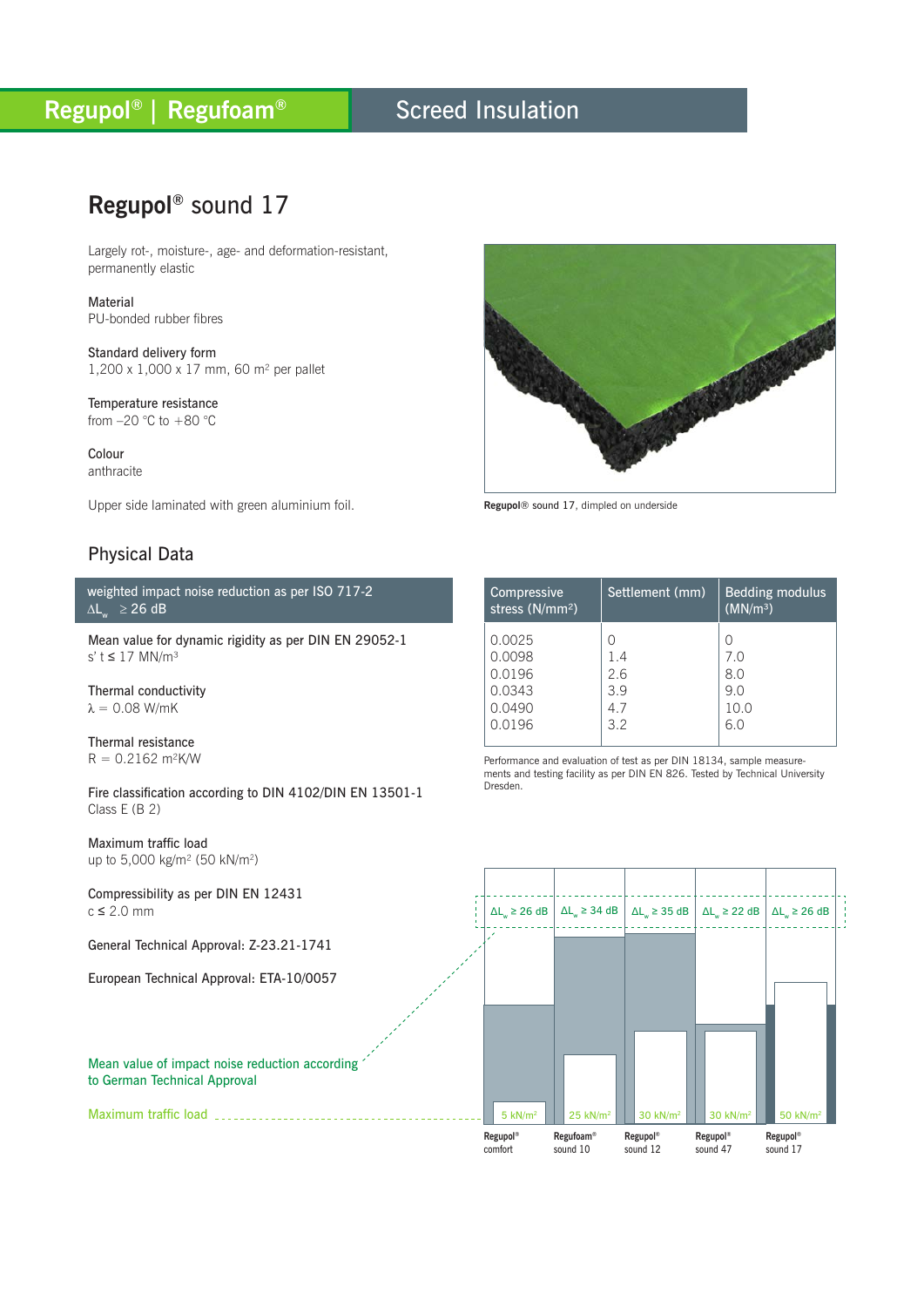### Screed Insulation

## **Regupol®** sound 17

Largely rot-, moisture-, age- and deformation-resistant, permanently elastic

Material PU-bonded rubber fibres

Standard delivery form 1,200 x 1,000 x 17 mm, 60 m² per pallet

Temperature resistance from  $-20$  °C to  $+80$  °C

Colour anthracite

Upper side laminated with green aluminium foil.

### Physical Data

weighted impact noise reduction as per ISO 717-2  $\Delta L_{w}$  ≥ 26 dB

Mean value for dynamic rigidity as per DIN EN 29052-1 s' t ≤ 17 MN/m³

Thermal conductivity  $\lambda = 0.08$  W/mK

Thermal resistance  $R = 0.2162$  m<sup>2</sup>K/W

Fire classification according to DIN 4102/DIN EN 13501-1 Class E (B 2)

Maximum traffic load up to 5,000 kg/m² (50 kN/m2)

Compressibility as per DIN EN 12431  $c \leq 2.0$  mm

General Technical Approval: Z-23.21-1741

European Technical Approval: ETA-10/0057

#### Mean value of impact noise reduction according to German Technical Approval

Maximum traffic load



**Regupol**® sound 17, dimpled on underside

| Compressive<br>stress (N/mm <sup>2</sup> )               | Settlement (mm)                | <b>Bedding modulus</b><br>(MN/m <sup>3</sup> ) |
|----------------------------------------------------------|--------------------------------|------------------------------------------------|
| 0.0025<br>0.0098<br>0.0196<br>0.0343<br>0.0490<br>0.0196 | 1.4<br>2.6<br>39<br>4.7<br>3.2 | Ω<br>7.0<br>8.0<br>9.0<br>10.0<br>6.0          |

Performance and evaluation of test as per DIN 18134, sample measurements and testing facility as per DIN EN 826. Tested by Technical University Dresden.

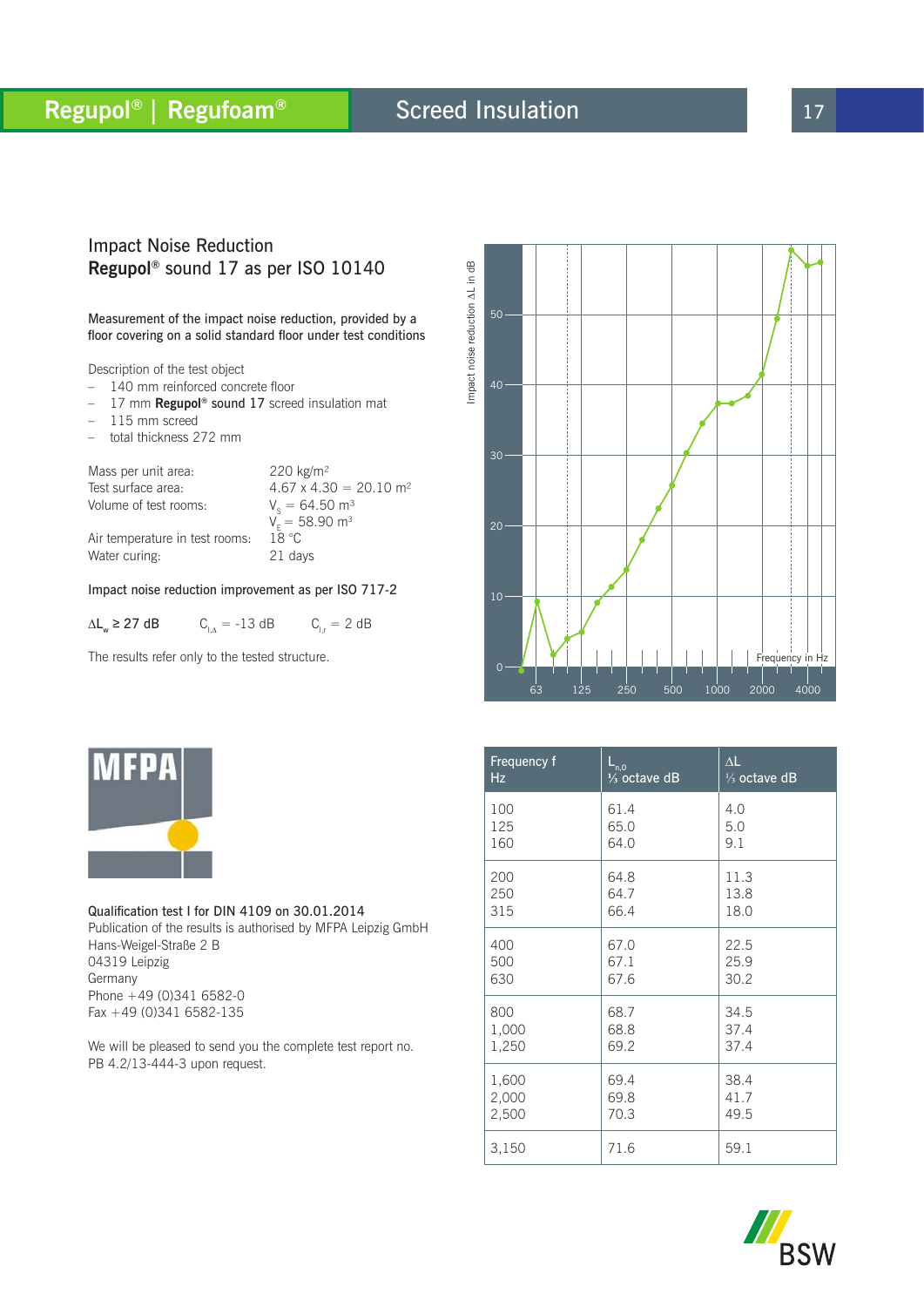# **Regupol<sup>®</sup> | Regufoam® 8** Screed Insulation **17** 17

## Screed Insulation

#### Impact Noise Reduction **Regupol®** sound 17 as per ISO 10140

Measurement of the impact noise reduction, provided by a floor covering on a solid standard floor under test conditions

Description of the test object

- 140 mm reinforced concrete floor
- 17 mm **Regupol®** sound 17 screed insulation mat
- $-115$  mm screed
- total thickness 272 mm

Mass per unit area: 220 kg/m<sup>2</sup> Test surface area:  $4.67 \times 4.30 = 20.10 \text{ m}^2$ Volume of test rooms:

Air temperature in test rooms:

 $V_e = 64.50$  m<sup>3</sup>  $V_{E} = 58.90$  m<sup>3</sup><br>18 °C Water curing: 21 days

#### Impact noise reduction improvement as per ISO 717-2

 $\Delta L_w \ge 27$  dB  $C_{1\Delta} = -13$  dB  $C_{1r} = 2$  dB

The results refer only to the tested structure.



Qualification test I for DIN 4109 on 30.01.2014 Publication of the results is authorised by MFPA Leipzig GmbH Hans-Weigel-Straße 2 B 04319 Leipzig Germany Phone +49 (0)341 6582-0 Fax +49 (0)341 6582-135

We will be pleased to send you the complete test report no. PB 4.2/13-444-3 upon request.



| Frequency f | $L_{n,0}$               | $\Delta L$              |
|-------------|-------------------------|-------------------------|
| Hz          | $\frac{1}{3}$ octave dB | $\frac{1}{3}$ octave dB |
| 100         | 61.4                    | 4.0                     |
| 125         | 65.0                    | 5.0                     |
| 160         | 64.0                    | 9.1                     |
| 200         | 64.8                    | 11.3                    |
| 250         | 64.7                    | 13.8                    |
| 315         | 66.4                    | 18.0                    |
| 400         | 67.0                    | 22.5                    |
| 500         | 67.1                    | 25.9                    |
| 630         | 67.6                    | 30.2                    |
| 800         | 68.7                    | 34.5                    |
| 1,000       | 68.8                    | 37.4                    |
| 1,250       | 69.2                    | 37.4                    |
| 1,600       | 69.4                    | 38.4                    |
| 2,000       | 69.8                    | 41.7                    |
| 2,500       | 70.3                    | 49.5                    |
| 3,150       | 71.6                    | 59.1                    |

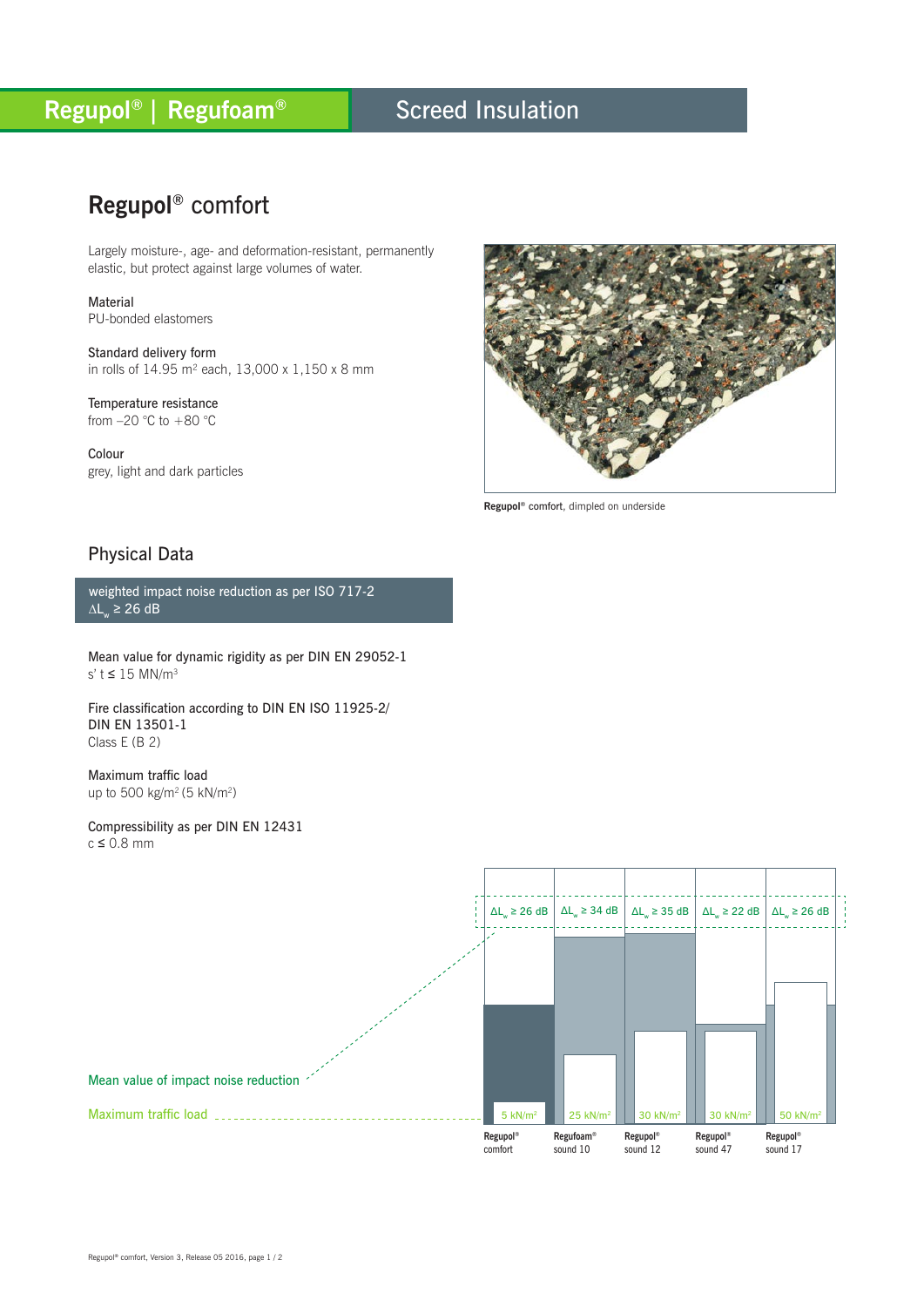## Screed Insulation

# **Regupol®** comfort

Largely moisture-, age- and deformation-resistant, permanently elastic, but protect against large volumes of water.

Material PU-bonded elastomers

Standard delivery form in rolls of 14.95 m² each, 13,000 x 1,150 x 8 mm

Temperature resistance from  $-20$  °C to  $+80$  °C

Colour grey, light and dark particles



**Regupol®** comfort, dimpled on underside

### Physical Data

weighted impact noise reduction as per ISO 717-2  $\Delta L_{w}$  ≥ 26 dB

Mean value for dynamic rigidity as per DIN EN 29052-1 s' t  $\leq$  15 MN/m<sup>3</sup>

Fire classification according to DIN EN ISO 11925-2/ DIN EN 13501-1 Class E (B 2)

Maximum traffic load up to 500 kg/m<sup>2</sup> (5 kN/m<sup>2</sup>)

Compressibility as per DIN EN 12431  $c \leq 0.8$  mm